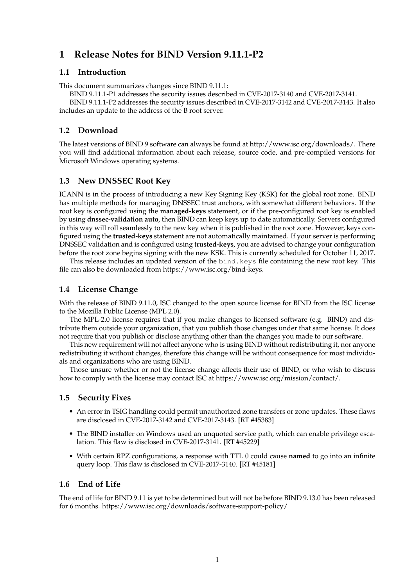# **1 Release Notes for BIND Version 9.11.1-P2**

#### **1.1 Introduction**

This document summarizes changes since BIND 9.11.1:

BIND 9.11.1-P1 addresses the security issues described in CVE-2017-3140 and CVE-2017-3141.

BIND 9.11.1-P2 addresses the security issues described in CVE-2017-3142 and CVE-2017-3143. It also includes an update to the address of the B root server.

# **1.2 Download**

The latest versions of BIND 9 software can always be found at http://www.isc.org/downloads/. There you will find additional information about each release, source code, and pre-compiled versions for Microsoft Windows operating systems.

# **1.3 New DNSSEC Root Key**

ICANN is in the process of introducing a new Key Signing Key (KSK) for the global root zone. BIND has multiple methods for managing DNSSEC trust anchors, with somewhat different behaviors. If the root key is configured using the **managed-keys** statement, or if the pre-configured root key is enabled by using **dnssec-validation auto**, then BIND can keep keys up to date automatically. Servers configured in this way will roll seamlessly to the new key when it is published in the root zone. However, keys configured using the **trusted-keys** statement are not automatically maintained. If your server is performing DNSSEC validation and is configured using **trusted-keys**, you are advised to change your configuration before the root zone begins signing with the new KSK. This is currently scheduled for October 11, 2017.

This release includes an updated version of the bind.keys file containing the new root key. This file can also be downloaded from https://www.isc.org/bind-keys.

# **1.4 License Change**

With the release of BIND 9.11.0, ISC changed to the open source license for BIND from the ISC license to the Mozilla Public License (MPL 2.0).

The MPL-2.0 license requires that if you make changes to licensed software (e.g. BIND) and distribute them outside your organization, that you publish those changes under that same license. It does not require that you publish or disclose anything other than the changes you made to our software.

This new requirement will not affect anyone who is using BIND without redistributing it, nor anyone redistributing it without changes, therefore this change will be without consequence for most individuals and organizations who are using BIND.

Those unsure whether or not the license change affects their use of BIND, or who wish to discuss how to comply with the license may contact ISC at https://www.isc.org/mission/contact/.

## **1.5 Security Fixes**

- An error in TSIG handling could permit unauthorized zone transfers or zone updates. These flaws are disclosed in CVE-2017-3142 and CVE-2017-3143. [RT #45383]
- The BIND installer on Windows used an unquoted service path, which can enable privilege escalation. This flaw is disclosed in CVE-2017-3141. [RT #45229]
- With certain RPZ configurations, a response with TTL 0 could cause **named** to go into an infinite query loop. This flaw is disclosed in CVE-2017-3140. [RT #45181]

## **1.6 End of Life**

The end of life for BIND 9.11 is yet to be determined but will not be before BIND 9.13.0 has been released for 6 months. https://www.isc.org/downloads/software-support-policy/